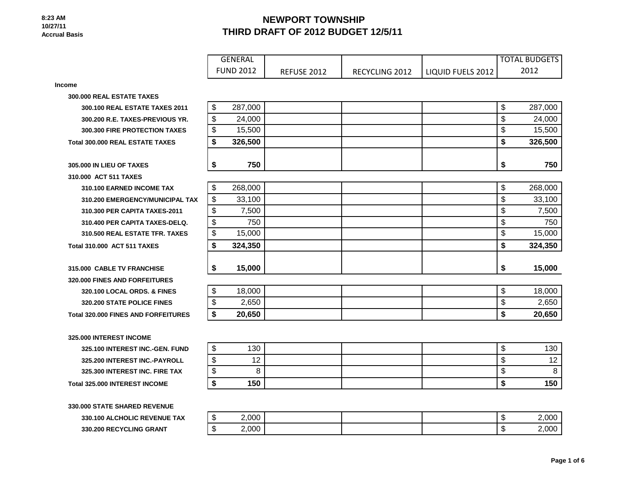**330.200 RECYCLING GRANT** 

# **NEWPORT TOWNSHIP THIRD DRAFT OF 2012 BUDGET 12/5/11**

|                                            | <b>GENERAL</b>   |                    |                |                   | <b>TOTAL BUDGETS</b>             |
|--------------------------------------------|------------------|--------------------|----------------|-------------------|----------------------------------|
|                                            | <b>FUND 2012</b> | <b>REFUSE 2012</b> | RECYCLING 2012 | LIQUID FUELS 2012 | 2012                             |
| <b>Income</b>                              |                  |                    |                |                   |                                  |
| 300.000 REAL ESTATE TAXES                  |                  |                    |                |                   |                                  |
| 300.100 REAL ESTATE TAXES 2011             | \$<br>287,000    |                    |                |                   | $\boldsymbol{\theta}$<br>287,000 |
| 300.200 R.E. TAXES-PREVIOUS YR.            | \$<br>24,000     |                    |                |                   | \$<br>24,000                     |
| 300.300 FIRE PROTECTION TAXES              | \$<br>15,500     |                    |                |                   | \$<br>15,500                     |
| <b>Total 300,000 REAL ESTATE TAXES</b>     | \$<br>326,500    |                    |                |                   | \$<br>326,500                    |
| 305,000 IN LIEU OF TAXES                   | 750<br>\$        |                    |                |                   | \$<br>750                        |
| 310.000 ACT 511 TAXES                      |                  |                    |                |                   |                                  |
| 310.100 EARNED INCOME TAX                  | \$<br>268,000    |                    |                |                   | $\boldsymbol{\theta}$<br>268,000 |
| 310.200 EMERGENCY/MUNICIPAL TAX            | \$<br>33,100     |                    |                |                   | $\boldsymbol{\theta}$<br>33,100  |
| 310.300 PER CAPITA TAXES-2011              | \$<br>7,500      |                    |                |                   | \$<br>7,500                      |
| 310.400 PER CAPITA TAXES-DELQ.             | \$<br>750        |                    |                |                   | \$<br>750                        |
| 310.500 REAL ESTATE TFR. TAXES             | \$<br>15,000     |                    |                |                   | \$<br>15,000                     |
| <b>Total 310.000 ACT 511 TAXES</b>         | \$<br>324,350    |                    |                |                   | \$<br>324,350                    |
| 315,000 CABLE TV FRANCHISE                 | \$<br>15,000     |                    |                |                   | \$<br>15,000                     |
| 320.000 FINES AND FORFEITURES              |                  |                    |                |                   |                                  |
| 320.100 LOCAL ORDS. & FINES                | \$<br>18,000     |                    |                |                   | \$<br>18,000                     |
| 320.200 STATE POLICE FINES                 | \$<br>2,650      |                    |                |                   | \$<br>2,650                      |
| <b>Total 320,000 FINES AND FORFEITURES</b> | \$<br>20,650     |                    |                |                   | \$<br>20,650                     |
| 325,000 INTEREST INCOME                    |                  |                    |                |                   |                                  |
| 325.100 INTEREST INC.-GEN. FUND            | \$<br>130        |                    |                |                   | \$<br>130                        |
| 325.200 INTEREST INC.-PAYROLL              | \$<br>12         |                    |                |                   | \$<br>12                         |
| 325.300 INTEREST INC. FIRE TAX             | \$<br>8          |                    |                |                   | \$<br>8                          |
| Total 325.000 INTEREST INCOME              | \$<br>150        |                    |                |                   | \$<br>150                        |
| 330,000 STATE SHARED REVENUE               |                  |                    |                |                   |                                  |
| <b>330.100 ALCHOLIC REVENUE TAX</b>        | \$<br>2.000      |                    |                |                   | $\mathfrak{L}$<br>2.000          |

| æ<br>-11      | 2,000 |  | ₼<br>۰IJ  | 2,000' |
|---------------|-------|--|-----------|--------|
| $\sim$<br>-11 | 2,000 |  | 灬<br>- 13 | 2,000  |

 **Page 1 of 6**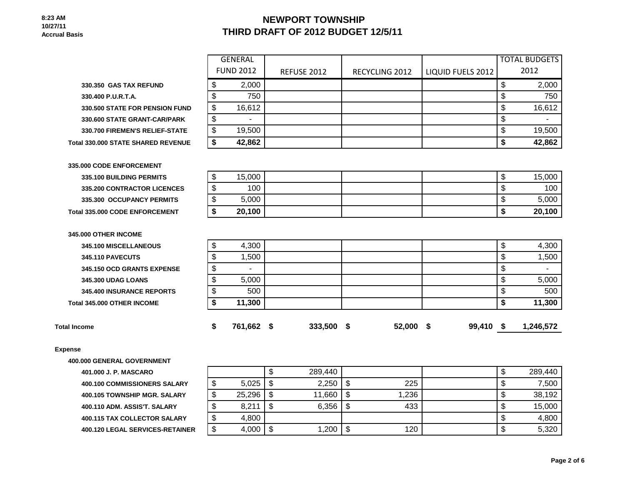### **NEWPORT TOWNSHIP THIRD DRAFT OF 2012 BUDGET 12/5/11**

**330.350 GAS TAX REFUND** 

|                                       | GENERAL          |                    |                       |                   | <b>TOTAL BUDGETS</b> |
|---------------------------------------|------------------|--------------------|-----------------------|-------------------|----------------------|
|                                       | <b>FUND 2012</b> | <b>REFUSE 2012</b> | <b>RECYCLING 2012</b> | LIQUID FUELS 2012 | 2012                 |
| 330.350  GAS TAX REFUND               | 2,000            |                    |                       |                   | 2,000                |
| 330.400 P.U.R.T.A.                    | 750              |                    |                       |                   | 750                  |
| <b>330.500 STATE FOR PENSION FUND</b> | 16,612           |                    |                       |                   | 16,612               |
| 330.600 STATE GRANT-CAR/PARK          |                  |                    |                       |                   |                      |
| <b>330.700 FIREMEN'S RELIEF-STATE</b> | 19,500           |                    |                       |                   | 19,500               |
| <b>1330.000 STATE SHARED REVENUE</b>  | 42,862           |                    |                       |                   | 42,862               |

**330.500 STATE FOR PENSION FUND 330.600 STATE GRANT-CAR/PARK 330.700 FIREMEN'S RELIEF-STATE** 

**Total 330.000 STATE SHARED REVENUE** 

| 335.000 CODE ENFORCEMENT              |  |  |  |  |  |  |  |  |
|---------------------------------------|--|--|--|--|--|--|--|--|
| 335.100 BUILDING PERMITS              |  |  |  |  |  |  |  |  |
| <b>335.200 CONTRACTOR LICENCES</b>    |  |  |  |  |  |  |  |  |
| 335.300 OCCUPANCY PERMITS             |  |  |  |  |  |  |  |  |
| <b>Total 335,000 CODE ENFORCEMENT</b> |  |  |  |  |  |  |  |  |

| 335.100 BUILDING PERMITS              | 15.000 |  |  | 15,000 |
|---------------------------------------|--------|--|--|--------|
| <b>335.200 CONTRACTOR LICENCES</b>    | 100    |  |  | 100    |
| 335.300 OCCUPANCY PERMITS             | 5,000  |  |  | 5,000  |
| <b>Total 335.000 CODE ENFORCEMENT</b> | 20,100 |  |  | 20,100 |

| <b>Total Income</b>        | 761,662 | 333,500 | - \$ | 52,000 | - 5 | 99,410 \$ | 1,246,572 |
|----------------------------|---------|---------|------|--------|-----|-----------|-----------|
| Total 345,000 OTHER INCOME | 11,300  |         |      |        |     |           | 11,300    |
| 345,400 INSURANCE REPORTS  | 500     |         |      |        |     |           | 500       |
| <b>345,300 UDAG LOANS</b>  | 5,000   |         |      |        |     |           | 5,000     |
| 345.150 OCD GRANTS EXPENSE |         |         |      |        |     |           |           |
| <b>345.110 PAVECUTS</b>    | 1,500   |         |      |        |     |           | 1,500     |
| 345.100 MISCELLANEOUS      | 4,300   |         |      |        |     |           | 4,300     |
| 345,000 OTHER INCOME       |         |         |      |        |     |           |           |
|                            |         |         |      |        |     |           |           |

### **Expense**

**400.000 GENERAL GOVERNMENT**

**401.000 J. P. MASCARO 400.100 COMMISSIONERS SALARY 400.105 TOWNSHIP MGR. SALARY 400.110 ADM. ASSIS'T. SALARY 400.115 TAX COLLECTOR SALARY 400.120 LEGAL SERVICES-RETAINER** 

|        |        | J  | 289,440 |        |       | Φ  | 289,440 |
|--------|--------|----|---------|--------|-------|----|---------|
| ጥ<br>จ | 5,025  | \$ | 2,250   | S      | 225   | Φ  | 7,500   |
| ጥ<br>จ | 25,296 | \$ | 11,660  | - \$   | 1,236 | ۰D | 38,192  |
| \$     | 8,211  | S  | 6,356   | S      | 433   | Φ  | 15,000  |
| \$     | 4,800  |    |         |        |       | \$ | 4,800   |
| \$     | 4,000  | \$ | 1,200   | œ<br>Œ | 120   | \$ | 5,320   |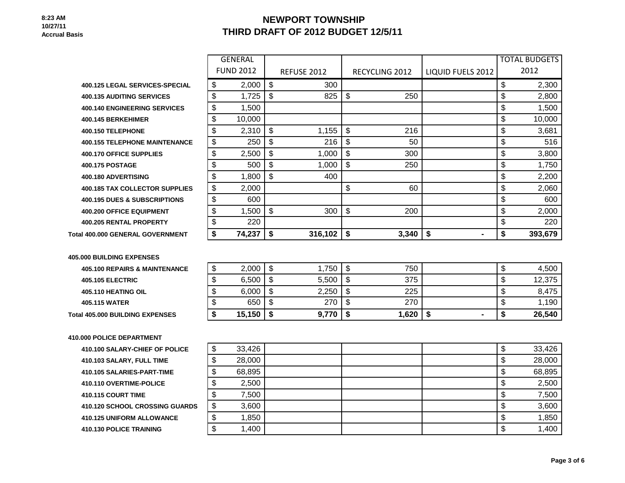# **NEWPORT TOWNSHIP THIRD DRAFT OF 2012 BUDGET 12/5/11**

|                                          | <b>GENERAL</b>   |                    |                |                      | <b>TOTAL BUDGETS</b> |
|------------------------------------------|------------------|--------------------|----------------|----------------------|----------------------|
|                                          | <b>FUND 2012</b> | <b>REFUSE 2012</b> | RECYCLING 2012 | LIQUID FUELS 2012    | 2012                 |
| <b>400.125 LEGAL SERVICES-SPECIAL</b>    | \$<br>2,000      | \$<br>300          |                |                      | \$<br>2,300          |
| <b>400.135 AUDITING SERVICES</b>         | \$<br>1,725      | \$<br>825          | \$<br>250      |                      | \$<br>2,800          |
| <b>400.140 ENGINEERING SERVICES</b>      | \$<br>1,500      |                    |                |                      | \$<br>1,500          |
| 400.145 BERKEHIMER                       | \$<br>10,000     |                    |                |                      | \$<br>10,000         |
| 400.150 TELEPHONE                        | \$<br>2,310      | \$<br>1,155        | \$<br>216      |                      | \$<br>3,681          |
| <b>400.155 TELEPHONE MAINTENANCE</b>     | \$<br>250        | \$<br>216          | \$<br>50       |                      | \$<br>516            |
| <b>400.170 OFFICE SUPPLIES</b>           | \$<br>2,500      | \$<br>1,000        | \$<br>300      |                      | \$<br>3,800          |
| <b>400.175 POSTAGE</b>                   | \$<br>500        | \$<br>1,000        | \$<br>250      |                      | \$<br>1,750          |
| 400.180 ADVERTISING                      | \$<br>1,800      | \$<br>400          |                |                      | \$<br>2,200          |
| <b>400.185 TAX COLLECTOR SUPPLIES</b>    | \$<br>2,000      |                    | \$<br>60       |                      | \$<br>2,060          |
| <b>400.195 DUES &amp; SUBSCRIPTIONS</b>  | \$<br>600        |                    |                |                      | \$<br>600            |
| <b>400.200 OFFICE EQUIPMENT</b>          | \$<br>1,500      | \$<br>300          | \$<br>200      |                      | \$<br>2,000          |
| 400.205 RENTAL PROPERTY                  | \$<br>220        |                    |                |                      | \$<br>220            |
| Total 400.000 GENERAL GOVERNMENT         | \$<br>74,237     | \$<br>316,102      | \$<br>3,340    | \$<br>$\blacksquare$ | \$<br>393,679        |
|                                          |                  |                    |                |                      |                      |
| <b>405.000 BUILDING EXPENSES</b>         |                  |                    |                |                      |                      |
| <b>405.100 REPAIRS &amp; MAINTENANCE</b> | \$<br>2,000      | \$<br>1,750        | \$<br>750      |                      | \$<br>4,500          |
| <b>405.105 ELECTRIC</b>                  | \$<br>6,500      | \$<br>5,500        | \$<br>375      |                      | \$<br>12,375         |
| 405.110 HEATING OIL                      | \$<br>6,000      | \$<br>2,250        | \$<br>225      |                      | \$<br>8,475          |

405.115 WATER | \$ 650 | \$ 270 | \$ 270 | | \$ 1,190

**Total 405.000 BUILDING EXPENSES \$ 15,150 \$ 9,770 \$ 1,620 \$ - \$ 26,540**

### **410.000 POLICE DEPARTMENT**

| 410.100 SALARY-CHIEF OF POLICE   |
|----------------------------------|
| 410.103 SALARY, FULL TIME        |
| 410.105 SALARIES-PART-TIME       |
| 410.110 OVERTIME-POLICE          |
| <b>410.115 COURT TIME</b>        |
| 410.120 SCHOOL CROSSING GUARD    |
| <b>410.125 UNIFORM ALLOWANCE</b> |
| <b>410.130 POLICE TRAINING</b>   |

| ייוויוויוויה ושל שלושל ישל       |              |  |  |        |
|----------------------------------|--------------|--|--|--------|
| 410.100 SALARY-CHIEF OF POLICE   | \$<br>33,426 |  |  | 33,426 |
| 410.103 SALARY, FULL TIME        | 28,000       |  |  | 28,000 |
| 410.105 SALARIES-PART-TIME       | 68,895       |  |  | 68,895 |
| <b>410.110 OVERTIME-POLICE</b>   | 2,500        |  |  | 2,500  |
| <b>410.115 COURT TIME</b>        | 7,500        |  |  | 7,500  |
| 410.120 SCHOOL CROSSING GUARDS   | \$<br>3,600  |  |  | 3,600  |
| <b>410.125 UNIFORM ALLOWANCE</b> | 1,850        |  |  | 1,850  |
| 410.130 POLICE TRAINING          | 1,400        |  |  | 1,400  |
|                                  |              |  |  |        |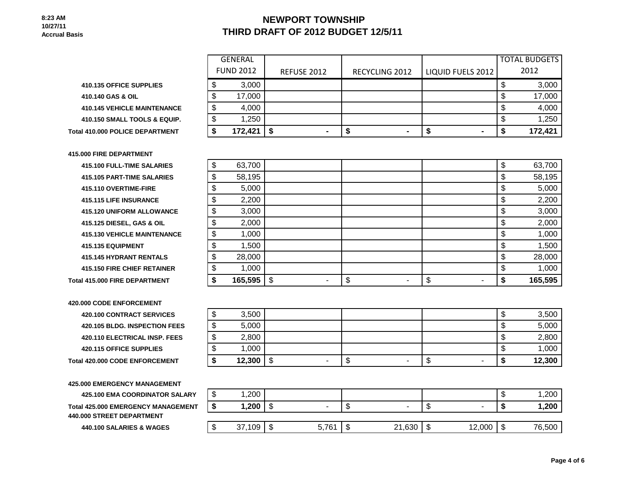# **NEWPORT TOWNSHIP THIRD DRAFT OF 2012 BUDGET 12/5/11**

**410.135 OFFICE SUPPLIES 410.140 GAS & OIL 410.145 VEHICLE MAINTENANCE 410.150 SMALL TOOLS & EQUIP. Total 410.000 POLICE DEPARTMENT** 

| 415,000 FIRE DEPARTMENT |  |
|-------------------------|--|
|-------------------------|--|

**415.100 FULL-TIME SALARIES 415.105 PART-TIME SALARIES 415.110 OVERTIME-FIRE 415.115 LIFE INSURANCE 415.120 UNIFORM ALLOWANCE 415.125 DIESEL, GAS & OIL 415.130 VEHICLE MAINTENANCE 415.135 EQUIPMENT 415.145 HYDRANT RENTALS 415.150 FIRE CHIEF RETAINER Total 415,000 FIRE DEPARTMENT** 

**420.000 CODE ENFORCEMENT 420.100 CONTRACT SERVICES 420.105 BLDG. INSPECTION FEES 420.110 ELECTRICAL INSP. FEES 420.115 OFFICE SUPPLIES Total 420.000 CODE ENFORCEMENT** 

**425.000 EMERGENCY MANAGEMENT**

**425.100 EMA COORDINATOR SALARY Total 425.000 EMERGENCY MANAGEMENT 440.000 STREET DEPARTMENT**

**440.100 SALARIES & WAGES** 

|    | <b>GENERAL</b>   |                    |                       |                   | <b>TOTAL BUDGETS</b> |
|----|------------------|--------------------|-----------------------|-------------------|----------------------|
|    | <b>FUND 2012</b> | <b>REFUSE 2012</b> | <b>RECYCLING 2012</b> | LIQUID FUELS 2012 | 2012                 |
| \$ | 3,000            |                    |                       |                   | 3,000<br>\$          |
| \$ | 17,000           |                    |                       |                   | 17,000<br>\$         |
| \$ | 4,000            |                    |                       |                   | 4,000<br>\$          |
| \$ | 1,250            |                    |                       |                   | 1,250<br>\$          |
| S  | 172,421          | S.                 | $\blacksquare$        | $\blacksquare$    | 172,421              |

| \$<br>63,700  |          | \$       | 63,700  |
|---------------|----------|----------|---------|
| \$<br>58,195  |          | \$       | 58,195  |
| \$<br>5,000   |          | \$       | 5,000   |
| \$<br>2,200   |          | \$       | 2,200   |
| \$<br>3,000   |          | \$       | 3,000   |
| \$<br>2,000   |          | \$       | 2,000   |
| \$<br>1,000   |          | \$       | 1,000   |
| \$<br>1,500   |          | \$       | 1,500   |
| \$<br>28,000  |          | \$       | 28,000  |
| \$<br>1,000   |          | \$       | 1,000   |
| \$<br>165,595 | \$<br>\$ | \$<br>\$ | 165,595 |

| ∩<br>۰D | 3,500  |         |         |   |        | ъD      | 3,500  |
|---------|--------|---------|---------|---|--------|---------|--------|
| ₼<br>จ  | 5,000  |         |         |   |        | ъD      | 5,000  |
| ₼<br>۰D | 2,800  |         |         |   |        | ጦ<br>ъD | 2,800  |
| ጦ<br>Œ  | 1,000  |         |         |   |        | ጦ<br>ъD | 1,000  |
| Ð       | 12,300 | \$<br>۰ | ጦ<br>۰D | ۰ | ጥ<br>Φ | æ       | 12,300 |

| ιIJ     | 1,200  |        |       |         |        |     |        | æ<br>۰D | 1,200  |
|---------|--------|--------|-------|---------|--------|-----|--------|---------|--------|
|         | 1,200  | ጦ<br>ง | -     | w       |        | ٨IJ |        |         | 1,200  |
|         |        |        |       |         |        |     |        |         |        |
| æ<br>ъD | 37,109 | ጥ<br>D | 5,761 | ᠊ᠭ<br>จ | 21,630 | \$  | 12,000 | \$      | 76,500 |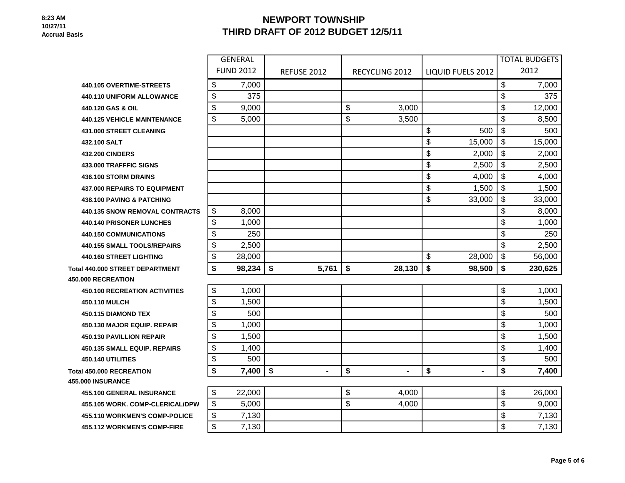# **NEWPORT TOWNSHIP THIRD DRAFT OF 2012 BUDGET 12/5/11**

|                                        |                       | <b>GENERAL</b>   |                      |                       |                      | <b>TOTAL BUDGETS</b> |
|----------------------------------------|-----------------------|------------------|----------------------|-----------------------|----------------------|----------------------|
|                                        |                       | <b>FUND 2012</b> | <b>REFUSE 2012</b>   | <b>RECYCLING 2012</b> | LIQUID FUELS 2012    | 2012                 |
| 440.105 OVERTIME-STREETS               | \$                    | 7,000            |                      |                       |                      | \$<br>7,000          |
| 440.110 UNIFORM ALLOWANCE              | \$                    | 375              |                      |                       |                      | \$<br>375            |
| 440.120 GAS & OIL                      | \$                    | 9,000            |                      | \$<br>3,000           |                      | \$<br>12,000         |
| <b>440.125 VEHICLE MAINTENANCE</b>     | $\boldsymbol{\theta}$ | 5,000            |                      | \$<br>3,500           |                      | \$<br>8,500          |
| <b>431.000 STREET CLEANING</b>         |                       |                  |                      |                       | \$<br>500            | \$<br>500            |
| 432.100 SALT                           |                       |                  |                      |                       | \$<br>15,000         | \$<br>15,000         |
| <b>432.200 CINDERS</b>                 |                       |                  |                      |                       | \$<br>2,000          | \$<br>2,000          |
| 433,000 TRAFFFIC SIGNS                 |                       |                  |                      |                       | \$<br>2,500          | \$<br>2,500          |
| 436.100 STORM DRAINS                   |                       |                  |                      |                       | \$<br>4,000          | \$<br>4,000          |
| <b>437,000 REPAIRS TO EQUIPMENT</b>    |                       |                  |                      |                       | \$<br>1,500          | \$<br>1,500          |
| <b>438.100 PAVING &amp; PATCHING</b>   |                       |                  |                      |                       | \$<br>33,000         | \$<br>33,000         |
| <b>440.135 SNOW REMOVAL CONTRACTS</b>  | \$                    | 8,000            |                      |                       |                      | \$<br>8,000          |
| <b>440.140 PRISONER LUNCHES</b>        | \$                    | 1,000            |                      |                       |                      | \$<br>1,000          |
| <b>440.150 COMMUNICATIONS</b>          | \$                    | 250              |                      |                       |                      | \$<br>250            |
| <b>440.155 SMALL TOOLS/REPAIRS</b>     | \$                    | 2,500            |                      |                       |                      | \$<br>2,500          |
| 440.160 STREET LIGHTING                | \$                    | 28,000           |                      |                       | \$<br>28,000         | \$<br>56,000         |
| <b>Total 440.000 STREET DEPARTMENT</b> | \$                    | 98,234           | \$<br>5,761          | \$<br>28,130          | \$<br>98,500         | \$<br>230,625        |
| <b>450,000 RECREATION</b>              |                       |                  |                      |                       |                      |                      |
| <b>450.100 RECREATION ACTIVITIES</b>   | \$                    | 1,000            |                      |                       |                      | \$<br>1,000          |
| 450.110 MULCH                          | \$                    | 1,500            |                      |                       |                      | \$<br>1,500          |
| <b>450.115 DIAMOND TEX</b>             | \$                    | 500              |                      |                       |                      | \$<br>500            |
| 450.130 MAJOR EQUIP, REPAIR            | \$                    | 1,000            |                      |                       |                      | \$<br>1,000          |
| <b>450.130 PAVILLION REPAIR</b>        | \$                    | 1,500            |                      |                       |                      | \$<br>1,500          |
| <b>450.135 SMALL EQUIP. REPAIRS</b>    | \$                    | 1,400            |                      |                       |                      | \$<br>1,400          |
| 450.140 UTILITIES                      | \$                    | 500              |                      |                       |                      | \$<br>500            |
| <b>Total 450,000 RECREATION</b>        | \$                    | 7,400            | \$<br>$\blacksquare$ | \$<br>$\blacksquare$  | \$<br>$\blacksquare$ | \$<br>7,400          |
| 455.000 INSURANCE                      |                       |                  |                      |                       |                      |                      |
| <b>455.100 GENERAL INSURANCE</b>       | \$                    | 22,000           |                      | \$<br>4,000           |                      | \$<br>26,000         |
| 455.105 WORK. COMP-CLERICAL/DPW        | \$                    | 5,000            |                      | \$<br>4,000           |                      | \$<br>9,000          |
| 455.110 WORKMEN'S COMP-POLICE          | \$                    | 7,130            |                      |                       |                      | \$<br>7,130          |
| <b>455.112 WORKMEN'S COMP-FIRE</b>     | \$                    | 7,130            |                      |                       |                      | \$<br>7,130          |